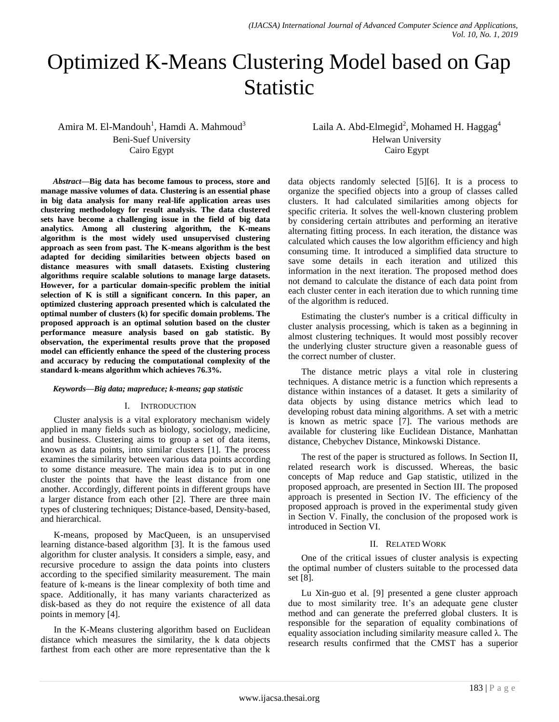# Optimized K-Means Clustering Model based on Gap Statistic

Amira M. El-Mandouh<sup>1</sup>, Hamdi A. Mahmoud<sup>3</sup> Beni-Suef University Cairo Egypt

*Abstract***—Big data has become famous to process, store and manage massive volumes of data. Clustering is an essential phase in big data analysis for many real-life application areas uses clustering methodology for result analysis. The data clustered sets have become a challenging issue in the field of big data analytics. Among all clustering algorithm, the K-means algorithm is the most widely used unsupervised clustering approach as seen from past. The K-means algorithm is the best adapted for deciding similarities between objects based on distance measures with small datasets. Existing clustering algorithms require scalable solutions to manage large datasets. However, for a particular domain-specific problem the initial selection of K is still a significant concern. In this paper, an optimized clustering approach presented which is calculated the optimal number of clusters (k) for specific domain problems. The proposed approach is an optimal solution based on the cluster performance measure analysis based on gab statistic. By observation, the experimental results prove that the proposed model can efficiently enhance the speed of the clustering process and accuracy by reducing the computational complexity of the standard k-means algorithm which achieves 76.3%.**

#### *Keywords—Big data; mapreduce; k-means; gap statistic*

### I. INTRODUCTION

Cluster analysis is a vital exploratory mechanism widely applied in many fields such as biology, sociology, medicine, and business. Clustering aims to group a set of data items, known as data points, into similar clusters [1]. The process examines the similarity between various data points according to some distance measure. The main idea is to put in one cluster the points that have the least distance from one another. Accordingly, different points in different groups have a larger distance from each other [2]. There are three main types of clustering techniques; Distance-based, Density-based, and hierarchical.

K-means, proposed by MacQueen, is an unsupervised learning distance-based algorithm [3]. It is the famous used algorithm for cluster analysis. It considers a simple, easy, and recursive procedure to assign the data points into clusters according to the specified similarity measurement. The main feature of k-means is the linear complexity of both time and space. Additionally, it has many variants characterized as disk-based as they do not require the existence of all data points in memory [4].

In the K-Means clustering algorithm based on Euclidean distance which measures the similarity, the k data objects farthest from each other are more representative than the k Laila A. Abd-Elmegid<sup>2</sup>, Mohamed H. Haggag<sup>4</sup> Helwan University Cairo Egypt

data objects randomly selected [5][6]. It is a process to organize the specified objects into a group of classes called clusters. It had calculated similarities among objects for specific criteria. It solves the well-known clustering problem by considering certain attributes and performing an iterative alternating fitting process. In each iteration, the distance was calculated which causes the low algorithm efficiency and high consuming time. It introduced a simplified data structure to save some details in each iteration and utilized this information in the next iteration. The proposed method does not demand to calculate the distance of each data point from each cluster center in each iteration due to which running time of the algorithm is reduced.

Estimating the cluster's number is a critical difficulty in cluster analysis processing, which is taken as a beginning in almost clustering techniques. It would most possibly recover the underlying cluster structure given a reasonable guess of the correct number of cluster.

The distance metric plays a vital role in clustering techniques. A distance metric is a function which represents a distance within instances of a dataset. It gets a similarity of data objects by using distance metrics which lead to developing robust data mining algorithms. A set with a metric is known as metric space [7]. The various methods are available for clustering like Euclidean Distance, Manhattan distance, Chebychev Distance, Minkowski Distance.

The rest of the paper is structured as follows. In Section II, related research work is discussed. Whereas, the basic concepts of Map reduce and Gap statistic, utilized in the proposed approach, are presented in Section III. The proposed approach is presented in Section IV. The efficiency of the proposed approach is proved in the experimental study given in Section V. Finally, the conclusion of the proposed work is introduced in Section VI.

### II. RELATED WORK

One of the critical issues of cluster analysis is expecting the optimal number of clusters suitable to the processed data set [8].

Lu Xin-guo et al. [9] presented a gene cluster approach due to most similarity tree. It's an adequate gene cluster method and can generate the preferred global clusters. It is responsible for the separation of equality combinations of equality association including similarity measure called λ. The research results confirmed that the CMST has a superior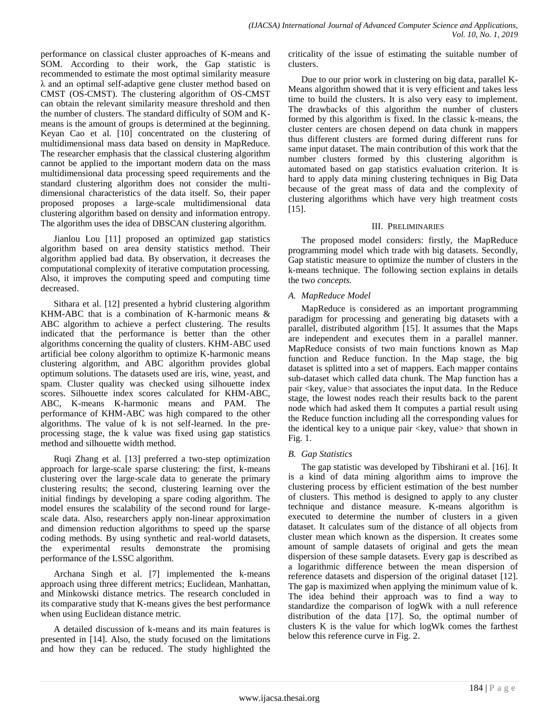performance on classical cluster approaches of K-means and SOM. According to their work, the Gap statistic is recommended to estimate the most optimal similarity measure λ and an optimal self-adaptive gene cluster method based on CMST (OS-CMST). The clustering algorithm of OS-CMST can obtain the relevant similarity measure threshold and then the number of clusters. The standard difficulty of SOM and Kmeans is the amount of groups is determined at the beginning. Keyan Cao et al. [10] concentrated on the clustering of multidimensional mass data based on density in MapReduce. The researcher emphasis that the classical clustering algorithm cannot be applied to the important modern data on the mass multidimensional data processing speed requirements and the standard clustering algorithm does not consider the multidimensional characteristics of the data itself. So, their paper proposed proposes a large-scale multidimensional data clustering algorithm based on density and information entropy. The algorithm uses the idea of DBSCAN clustering algorithm.

Jianlou Lou [11] proposed an optimized gap statistics algorithm based on area density statistics method. Their algorithm applied bad data. By observation, it decreases the computational complexity of iterative computation processing. Also, it improves the computing speed and computing time decreased.

Sithara et al. [12] presented a hybrid clustering algorithm KHM-ABC that is a combination of K-harmonic means & ABC algorithm to achieve a perfect clustering. The results indicated that the performance is better than the other algorithms concerning the quality of clusters. KHM-ABC used artificial bee colony algorithm to optimize K-harmonic means clustering algorithm, and ABC algorithm provides global optimum solutions. The datasets used are iris, wine, yeast, and spam. Cluster quality was checked using silhouette index scores. Silhouette index scores calculated for KHM-ABC, ABC, K-means K-harmonic means and PAM. The performance of KHM-ABC was high compared to the other algorithms. The value of k is not self-learned. In the preprocessing stage, the k value was fixed using gap statistics method and silhouette width method.

Ruqi Zhang et al. [13] preferred a two-step optimization approach for large-scale sparse clustering: the first, k-means clustering over the large-scale data to generate the primary clustering results; the second, clustering learning over the initial findings by developing a spare coding algorithm. The model ensures the scalability of the second round for largescale data. Also, researchers apply non-linear approximation and dimension reduction algorithms to speed up the sparse coding methods. By using synthetic and real-world datasets, the experimental results demonstrate the promising performance of the LSSC algorithm.

Archana Singh et al. [7] implemented the k-means approach using three different metrics; Euclidean, Manhattan, and Minkowski distance metrics. The research concluded in its comparative study that K-means gives the best performance when using Euclidean distance metric.

A detailed discussion of k-means and its main features is presented in [14]. Also, the study focused on the limitations and how they can be reduced. The study highlighted the criticality of the issue of estimating the suitable number of clusters.

Due to our prior work in clustering on big data, parallel K-Means algorithm showed that it is very efficient and takes less time to build the clusters. It is also very easy to implement. The drawbacks of this algorithm the number of clusters formed by this algorithm is fixed. In the classic k-means, the cluster centers are chosen depend on data chunk in mappers thus different clusters are formed during different runs for same input dataset. The main contribution of this work that the number clusters formed by this clustering algorithm is automated based on gap statistics evaluation criterion. It is hard to apply data mining clustering techniques in Big Data because of the great mass of data and the complexity of clustering algorithms which have very high treatment costs [15].

# III. PRELIMINARIES

The proposed model considers: firstly, the MapReduce programming model which trade with big datasets. Secondly, Gap statistic measure to optimize the number of clusters in the k-means technique. The following section explains in details the tw*o concepts.*

# *A. MapReduce Model*

MapReduce is considered as an important programming paradigm for processing and generating big datasets with a parallel, distributed algorithm [15]. It assumes that the Maps are independent and executes them in a parallel manner. MapReduce consists of two main functions known as Map function and Reduce function. In the Map stage, the big dataset is splitted into a set of mappers. Each mapper contains sub-dataset which called data chunk. The Map function has a pair <key, value> that associates the input data. In the Reduce stage, the lowest nodes reach their results back to the parent node which had asked them It computes a partial result using the Reduce function including all the corresponding values for the identical key to a unique pair  $\langle \text{key}, \text{value} \rangle$  that shown in Fig. 1.

# *B. Gap Statistics*

The gap statistic was developed by Tibshirani et al. [16]. It is a kind of data mining algorithm aims to improve the clustering process by efficient estimation of the best number of clusters. This method is designed to apply to any cluster technique and distance measure. K-means algorithm is executed to determine the number of clusters in a given dataset. It calculates sum of the distance of all objects from cluster mean which known as the dispersion. It creates some amount of sample datasets of original and gets the mean dispersion of these sample datasets. Every gap is described as a logarithmic difference between the mean dispersion of reference datasets and dispersion of the original dataset [12]. The gap is maximized when applying the minimum value of k. The idea behind their approach was to find a way to standardize the comparison of logWk with a null reference distribution of the data [17]. So, the optimal number of clusters K is the value for which logWk comes the farthest below this reference curve in Fig. 2.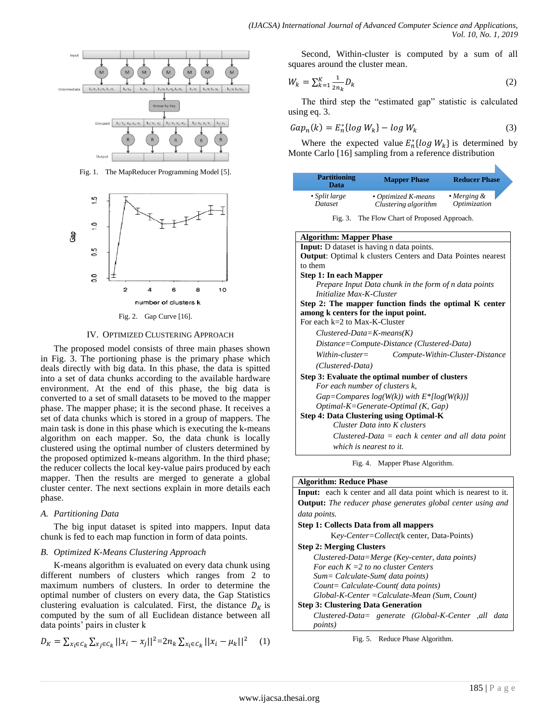

Fig. 1. The MapReducer Programming Model [5].



Fig. 2. Gap Curve [16].

#### IV. OPTIMIZED CLUSTERING APPROACH

The proposed model consists of three main phases shown in Fig. 3. The portioning phase is the primary phase which deals directly with big data. In this phase, the data is spitted into a set of data chunks according to the available hardware environment. At the end of this phase, the big data is converted to a set of small datasets to be moved to the mapper phase. The mapper phase; it is the second phase. It receives a set of data chunks which is stored in a group of mappers. The main task is done in this phase which is executing the k-means algorithm on each mapper. So, the data chunk is locally clustered using the optimal number of clusters determined by the proposed optimized k-means algorithm. In the third phase; the reducer collects the local key-value pairs produced by each mapper. Then the results are merged to generate a global cluster center. The next sections explain in more details each phase.

### *A. Partitioning Data*

The big input dataset is spited into mappers. Input data chunk is fed to each map function in form of data points.

### *B. Optimized K-Means Clustering Approach*

K-means algorithm is evaluated on every data chunk using different numbers of clusters which ranges from 2 to maximum numbers of clusters. In order to determine the optimal number of clusters on every data, the Gap Statistics clustering evaluation is calculated. First, the distance  $D_K$  is computed by the sum of all Euclidean distance between all data points' pairs in cluster k

$$
D_K = \sum_{x_i \in C_k} \sum_{x_j \in C_k} ||x_i - x_j||^2 = 2n_k \sum_{x_i \in C_k} ||x_i - \mu_k||^2 \tag{1}
$$

Second, Within-cluster is computed by a sum of all squares around the cluster mean.

$$
W_k = \sum_{k=1}^{K} \frac{1}{2n_k} D_k
$$
 (2)

The third step the "estimated gap" statistic is calculated using eq. 3.

$$
Gap_n(k) = E_n^*[log W_k] - log W_k \tag{3}
$$

Where the expected value  $E_n^*[log W_k]$  is determined by Monte Carlo [16] sampling from a reference distribution

| <b>Partitioning</b><br>Data | <b>Mapper Phase</b>  | <b>Reducer Phase</b> |
|-----------------------------|----------------------|----------------------|
| $\cdot$ Split large         | • Optimized K-means  | $\cdot$ Merging &    |
| Dataset                     | Clustering algorithm | Optimization         |

Fig. 3. The Flow Chart of Proposed Approach.

| <b>Input:</b> D dataset is having n data points.                   |
|--------------------------------------------------------------------|
|                                                                    |
| <b>Output:</b> Optimal k clusters Centers and Data Pointes nearest |
| to them                                                            |
| <b>Step 1: In each Mapper</b>                                      |
| Prepare Input Data chunk in the form of n data points              |
| Initialize Max-K-Cluster                                           |
| Step 2: The mapper function finds the optimal K center             |
| among k centers for the input point.                               |
| For each $k=2$ to Max-K-Cluster                                    |
| $Clustered\text{-}Data=K\text{-}means(K)$                          |
| Distance=Compute-Distance (Clustered-Data)                         |
| $Within-cluster =$<br>Compute-Within-Cluster-Distance              |
| (Clustered-Data)                                                   |
| Step 3: Evaluate the optimal number of clusters                    |
| For each number of clusters k,                                     |
| $Gap=Comparses log(W(k))$ with $E^*[log(W(k))]$                    |
| $Optimal$ - $K = Generate$ - $Optimal$ (K, $Gap$ )                 |
| Step 4: Data Clustering using Optimal-K                            |
| Cluster Data into K clusters                                       |
| Clustered-Data $=$ each $k$ center and all data point              |
| which is nearest to it.                                            |

Fig. 4. Mapper Phase Algorithm.

## **Algorithm: Reduce Phase**

**Input:** each k center and all data point which is nearest to it. **Output:** *The reducer phase generates global center using and data points.*

#### **Step 1: Collects Data from all mappers**

K*ey-Center=Collect(*k center, Data-Points)

#### **Step 2: Merging Clusters**

*Clustered-Data=Merge (Key-center, data points) For each K =2 to no cluster Centers Sum= Calculate-Sum( data points) Count= Calculate-Count( data points) Global-K-Center =Calculate-Mean (Sum, Count)* **Step 3: Clustering Data Generation**

*Clustered-Data= generate (Global-K-Center ,all data points)*

Fig. 5. Reduce Phase Algorithm.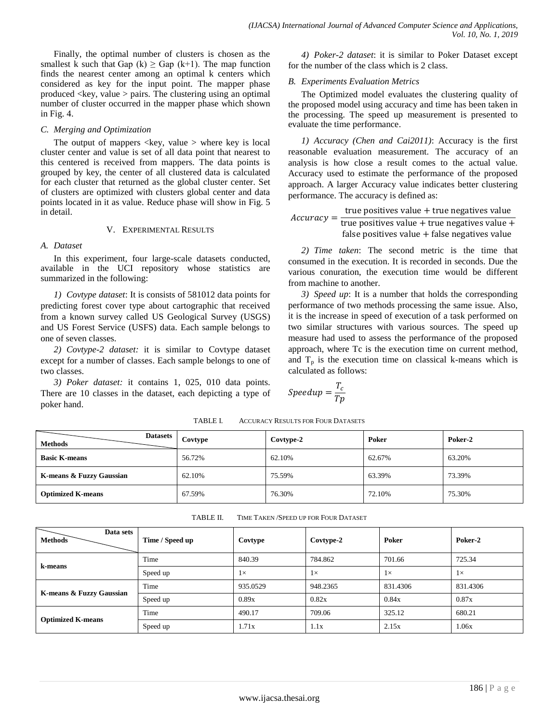Finally, the optimal number of clusters is chosen as the smallest k such that Gap  $(k) \geq$  Gap  $(k+1)$ . The map function finds the nearest center among an optimal k centers which considered as key for the input point. The mapper phase produced  $\langle key, value \rangle$  pairs. The clustering using an optimal number of cluster occurred in the mapper phase which shown in Fig. 4.

## *C. Merging and Optimization*

The output of mappers  $\langle \text{key}, \text{value} \rangle$  where key is local cluster center and value is set of all data point that nearest to this centered is received from mappers. The data points is grouped by key, the center of all clustered data is calculated for each cluster that returned as the global cluster center. Set of clusters are optimized with clusters global center and data points located in it as value. Reduce phase will show in Fig. 5 in detail.

### V. EXPERIMENTAL RESULTS

## *A. Dataset*

In this experiment, four large-scale datasets conducted, available in the UCI repository whose statistics are summarized in the following:

*1) Covtype dataset*: It is consists of 581012 data points for predicting forest cover type about cartographic that received from a known survey called US Geological Survey (USGS) and US Forest Service (USFS) data. Each sample belongs to one of seven classes.

*2) Covtype-2 dataset:* it is similar to Covtype dataset except for a number of classes. Each sample belongs to one of two classes.

*3) Poker dataset:* it contains 1, 025, 010 data points. There are 10 classes in the dataset, each depicting a type of poker hand.

|                                               |  |  |  |  |  |  | 4) <i>Poker-2 dataset</i> : it is similar to Poker Dataset except |  |
|-----------------------------------------------|--|--|--|--|--|--|-------------------------------------------------------------------|--|
| for the number of the class which is 2 class. |  |  |  |  |  |  |                                                                   |  |

## *B. Experiments Evaluation Metrics*

The Optimized model evaluates the clustering quality of the proposed model using accuracy and time has been taken in the processing. The speed up measurement is presented to evaluate the time performance.

*1) Accuracy (Chen and Cai2011)*: Accuracy is the first reasonable evaluation measurement. The accuracy of an analysis is how close a result comes to the actual value. Accuracy used to estimate the performance of the proposed approach. A larger Accuracy value indicates better clustering performance. The accuracy is defined as:

$$
Accuracy = \frac{\text{true positives value} + \text{true negatives value}}{\text{true positives value} + \text{true negatives value} + \text{false positives value}}
$$

*2) Time taken*: The second metric is the time that consumed in the execution. It is recorded in seconds. Due the various conuration, the execution time would be different from machine to another.

*3) Speed up*: It is a number that holds the corresponding performance of two methods processing the same issue. Also, it is the increase in speed of execution of a task performed on two similar structures with various sources. The speed up measure had used to assess the performance of the proposed approach, where Tc is the execution time on current method, and  $T_p$  is the execution time on classical k-means which is calculated as follows:

$$
Speedup = \frac{T_c}{Tp}
$$

| <b>Datasets</b><br><b>Methods</b> | Covtype | Covtype-2 | Poker  | Poker-2 |
|-----------------------------------|---------|-----------|--------|---------|
| <b>Basic K-means</b>              | 56.72%  | 62.10%    | 62.67% | 63.20%  |
| K-means & Fuzzy Gaussian          | 62.10%  | 75.59%    | 63.39% | 73.39%  |
| <b>Optimized K-means</b>          | 67.59%  | 76.30%    | 72.10% | 75.30%  |

TABLE I. ACCURACY RESULTS FOR FOUR DATASETS

| Data sets<br><b>Methods</b> | Time / Speed up | Covtype   | Covtype-2 | Poker     | Poker-2   |
|-----------------------------|-----------------|-----------|-----------|-----------|-----------|
| k-means                     | Time            | 840.39    | 784.862   | 701.66    | 725.34    |
|                             | Speed up        | $1\times$ | $1\times$ | $1\times$ | $1\times$ |
| K-means & Fuzzy Gaussian    | Time            | 935.0529  | 948.2365  | 831.4306  | 831.4306  |
|                             | Speed up        | 0.89x     | 0.82x     | 0.84x     | 0.87x     |
| <b>Optimized K-means</b>    | Time            | 490.17    | 709.06    | 325.12    | 680.21    |
|                             | Speed up        | 1.71x     | 1.1x      | 2.15x     | 1.06x     |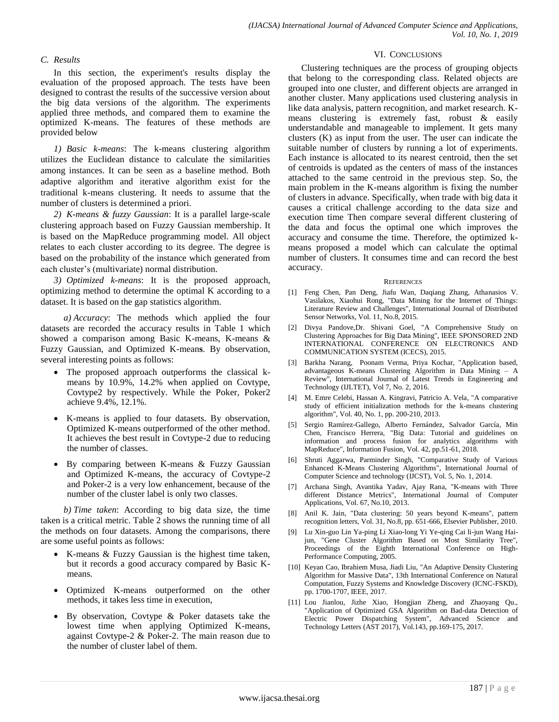## *C. Results*

In this section, the experiment's results display the evaluation of the proposed approach. The tests have been designed to contrast the results of the successive version about the big data versions of the algorithm. The experiments applied three methods, and compared them to examine the optimized K-means. The features of these methods are provided below

*1) Basic k-means*: The k-means clustering algorithm utilizes the Euclidean distance to calculate the similarities among instances. It can be seen as a baseline method. Both adaptive algorithm and iterative algorithm exist for the traditional k-means clustering. It needs to assume that the number of clusters is determined a priori.

*2) K-means & fuzzy Gaussian*: It is a parallel large-scale clustering approach based on Fuzzy Gaussian membership. It is based on the MapReduce programming model. All object relates to each cluster according to its degree. The degree is based on the probability of the instance which generated from each cluster's (multivariate) normal distribution.

*3) Optimized k-means*: It is the proposed approach, optimizing method to determine the optimal K according to a dataset. It is based on the gap statistics algorithm.

*a) Accuracy*: The methods which applied the four datasets are recorded the accuracy results in Table 1 which showed a comparison among Basic K-means, K-means & Fuzzy Gaussian, and Optimized K-mean**s**. By observation, several interesting points as follows:

- The proposed approach outperforms the classical kmeans by 10.9%, 14.2% when applied on Covtype, Covtype2 by respectively. While the Poker, Poker2 achieve 9.4%, 12.1%.
- K-means is applied to four datasets. By observation, Optimized K-means outperformed of the other method. It achieves the best result in Covtype-2 due to reducing the number of classes.
- By comparing between K-means & Fuzzy Gaussian and Optimized K-means, the accuracy of Covtype-2 and Poker-2 is a very low enhancement, because of the number of the cluster label is only two classes.

*b) Time taken*: According to big data size, the time taken is a critical metric. Table 2 shows the running time of all the methods on four datasets. Among the comparisons, there are some useful points as follows:

- K-means & Fuzzy Gaussian is the highest time taken, but it records a good accuracy compared by Basic Kmeans.
- Optimized K-means outperformed on the other methods, it takes less time in execution,
- By observation, Covtype & Poker datasets take the lowest time when applying Optimized K-means, against Covtype-2 & Poker-2. The main reason due to the number of cluster label of them.

#### VI. CONCLUSIONS

Clustering techniques are the process of grouping objects that belong to the corresponding class. Related objects are grouped into one cluster, and different objects are arranged in another cluster. Many applications used clustering analysis in like data analysis, pattern recognition, and market research. Kmeans clustering is extremely fast, robust & easily understandable and manageable to implement. It gets many clusters (K) as input from the user. The user can indicate the suitable number of clusters by running a lot of experiments. Each instance is allocated to its nearest centroid, then the set of centroids is updated as the centers of mass of the instances attached to the same centroid in the previous step. So, the main problem in the K-means algorithm is fixing the number of clusters in advance. Specifically, when trade with big data it causes a critical challenge according to the data size and execution time Then compare several different clustering of the data and focus the optimal one which improves the accuracy and consume the time. Therefore, the optimized kmeans proposed a model which can calculate the optimal number of clusters. It consumes time and can record the best accuracy.

#### **REFERENCES**

- [1] Feng Chen, Pan Deng, Jiafu Wan, Daqiang Zhang, Athanasios V. Vasilakos, Xiaohui Rong, "Data Mining for the Internet of Things: Literature Review and Challenges", International Journal of Distributed Sensor Networks, Vol. 11, No.8, 2015.
- [2] Divya Pandove,Dr. Shivani Goel, "A Comprehensive Study on Clustering Approaches for Big Data Mining", IEEE SPONSORED 2ND INTERNATIONAL CONFERENCE ON ELECTRONICS AND COMMUNICATION SYSTEM (ICECS), 2015.
- [3] Barkha Narang, Poonam Verma, Priya Kochar, "Application based, advantageous K-means Clustering Algorithm in Data Mining – A Review", International Journal of Latest Trends in Engineering and Technology (IJLTET), Vol 7, No. 2, 2016.
- [4] M. Emre Celebi, Hassan A. Kingravi, Patricio A. Vela, "A comparative study of efficient initialization methods for the k-means clustering algorithm", Vol. 40, No. 1, pp. 200-210, 2013.
- [5] Sergio Ramírez-Gallego, Alberto Fernández, Salvador García, Min Chen, Francisco Herrera, "Big Data: Tutorial and guidelines on information and process fusion for analytics algorithms with MapReduce", Information Fusion, Vol. 42, pp.51-61, 2018.
- [6] Shruti Aggarwa, Parminder Singh, "Comparative Study of Various Enhanced K-Means Clustering Algorithms", International Journal of Computer Science and technology (IJCST), Vol. 5, No. 1, 2014.
- [7] Archana Singh, Avantika Yadav, Ajay Rana, "K-means with Three different Distance Metrics", International Journal of Computer Applications, Vol. 67, No.10, 2013.
- [8] Anil K. Jain, "Data clustering: 50 years beyond K-means", pattern recognition letters, Vol. 31, No.8, pp. 651-666, Elsevier Publisher, 2010.
- [9] Lu Xin-guo Lin Ya-ping Li Xiao-long Yi Ye-qing Cai li-jun Wang Haijun, "Gene Cluster Algorithm Based on Most Similarity Tree", Proceedings of the Eighth International Conference on High-Performance Computing, 2005.
- [10] Keyan Cao, Ibrahiem Musa, Jiadi Liu, "An Adaptive Density Clustering Algorithm for Massive Data", 13th International Conference on Natural Computation, Fuzzy Systems and Knowledge Discovery (ICNC-FSKD), pp. 1700-1707, IEEE, 2017.
- [11] Lou Jianlou, Jizhe Xiao, Hongjian Zheng, and Zhaoyang Qu., "Application of Optimized GSA Algorithm on Bad-data Detection of Electric Power Dispatching System", Advanced Science and Technology Letters (AST 2017), Vol.143, pp.169-175, 2017.